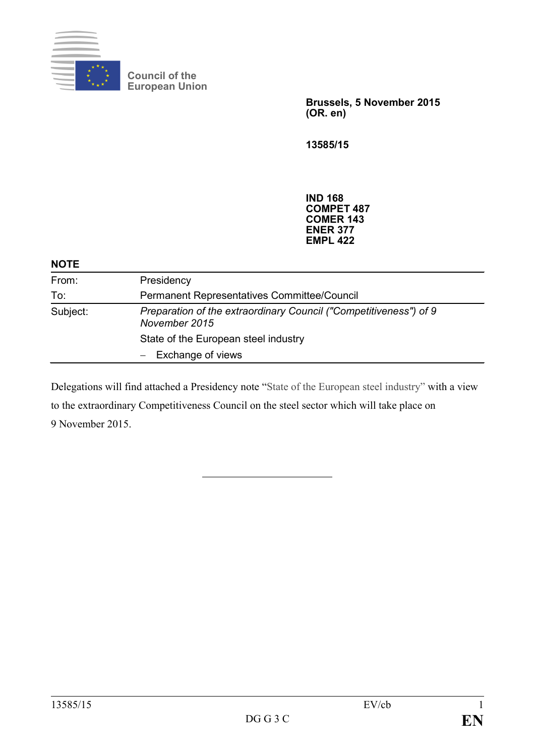

**Council of the European Union**

> **Brussels, 5 November 2015 (OR. en)**

**13585/15**

**IND 168 COMPET 487 COMER 143 ENER 377 EMPL 422**

#### **NOTE**

| From:    | Presidency                                                                         |
|----------|------------------------------------------------------------------------------------|
| To:      | Permanent Representatives Committee/Council                                        |
| Subject: | Preparation of the extraordinary Council ("Competitiveness") of 9<br>November 2015 |
|          | State of the European steel industry                                               |
|          | $-$ Exchange of views                                                              |

Delegations will find attached a Presidency note "State of the European steel industry" with a view to the extraordinary Competitiveness Council on the steel sector which will take place on 9 November 2015.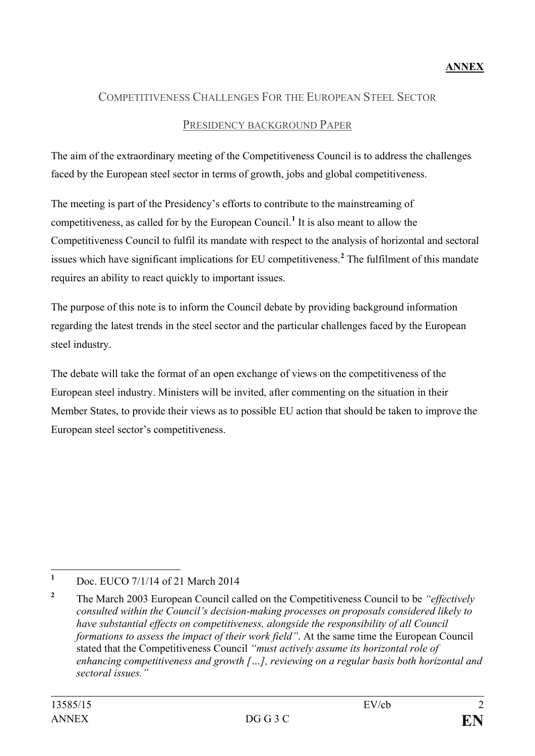# COMPETITIVENESS CHALLENGES FOR THE EUROPEAN STEEL SECTOR

### PRESIDENCY BACKGROUND PAPER

The aim of the extraordinary meeting of the Competitiveness Council is to address the challenges faced by the European steel sector in terms of growth, jobs and global competitiveness.

The meeting is part of the Presidency's efforts to contribute to the mainstreaming of competitiveness, as called for by the European Council. **[1](#page-1-0)** It is also meant to allow the Competitiveness Council to fulfil its mandate with respect to the analysis of horizontal and sectoral issues which have significant implications for EU competitiveness. **[2](#page-1-1)** The fulfilment of this mandate requires an ability to react quickly to important issues.

The purpose of this note is to inform the Council debate by providing background information regarding the latest trends in the steel sector and the particular challenges faced by the European steel industry.

The debate will take the format of an open exchange of views on the competitiveness of the European steel industry. Ministers will be invited, after commenting on the situation in their Member States, to provide their views as to possible EU action that should be taken to improve the European steel sector's competitiveness.

<span id="page-1-0"></span>**<sup>1</sup>** Doc. EUCO 7/1/14 of 21 March 2014

<span id="page-1-1"></span>**<sup>2</sup>** The March 2003 European Council called on the Competitiveness Council to be *"effectively consulted within the Council's decision-making processes on proposals considered likely to have substantial effects on competitiveness, alongside the responsibility of all Council formations to assess the impact of their work field"*. At the same time the European Council stated that the Competitiveness Council *"must actively assume its horizontal role of enhancing competitiveness and growth […], reviewing on a regular basis both horizontal and sectoral issues."*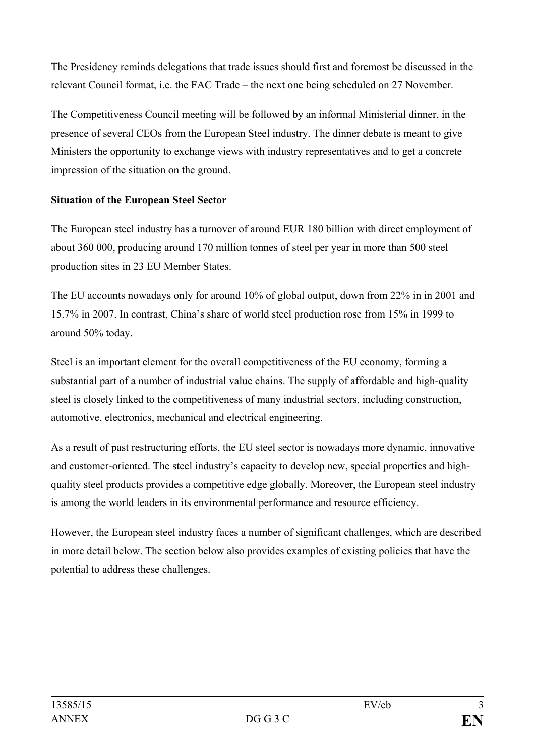The Presidency reminds delegations that trade issues should first and foremost be discussed in the relevant Council format, i.e. the FAC Trade – the next one being scheduled on 27 November.

The Competitiveness Council meeting will be followed by an informal Ministerial dinner, in the presence of several CEOs from the European Steel industry. The dinner debate is meant to give Ministers the opportunity to exchange views with industry representatives and to get a concrete impression of the situation on the ground.

#### **Situation of the European Steel Sector**

The European steel industry has a turnover of around EUR 180 billion with direct employment of about 360 000, producing around 170 million tonnes of steel per year in more than 500 steel production sites in 23 EU Member States.

The EU accounts nowadays only for around 10% of global output, down from 22% in in 2001 and 15.7% in 2007. In contrast, China's share of world steel production rose from 15% in 1999 to around 50% today.

Steel is an important element for the overall competitiveness of the EU economy, forming a substantial part of a number of industrial value chains. The supply of affordable and high-quality steel is closely linked to the competitiveness of many industrial sectors, including construction, automotive, electronics, mechanical and electrical engineering.

As a result of past restructuring efforts, the EU steel sector is nowadays more dynamic, innovative and customer-oriented. The steel industry's capacity to develop new, special properties and highquality steel products provides a competitive edge globally. Moreover, the European steel industry is among the world leaders in its environmental performance and resource efficiency.

However, the European steel industry faces a number of significant challenges, which are described in more detail below. The section below also provides examples of existing policies that have the potential to address these challenges.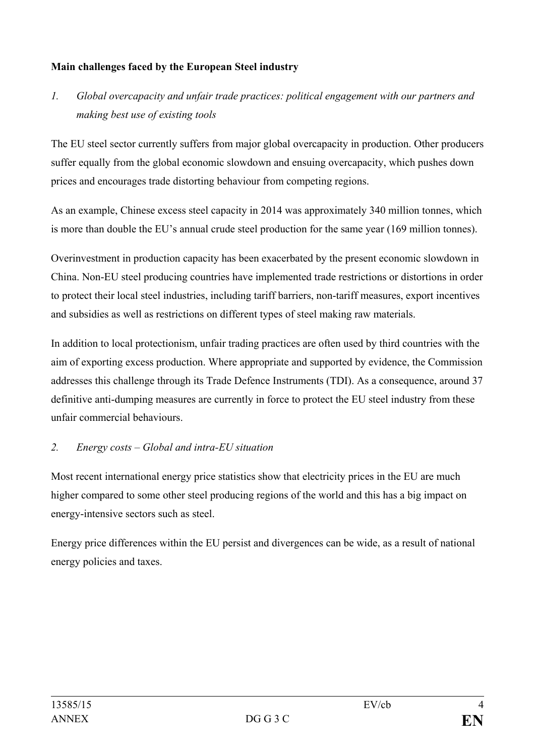### **Main challenges faced by the European Steel industry**

*1. Global overcapacity and unfair trade practices: political engagement with our partners and making best use of existing tools*

The EU steel sector currently suffers from major global overcapacity in production. Other producers suffer equally from the global economic slowdown and ensuing overcapacity, which pushes down prices and encourages trade distorting behaviour from competing regions.

As an example, Chinese excess steel capacity in 2014 was approximately 340 million tonnes, which is more than double the EU's annual crude steel production for the same year (169 million tonnes).

Overinvestment in production capacity has been exacerbated by the present economic slowdown in China. Non-EU steel producing countries have implemented trade restrictions or distortions in order to protect their local steel industries, including tariff barriers, non-tariff measures, export incentives and subsidies as well as restrictions on different types of steel making raw materials.

In addition to local protectionism, unfair trading practices are often used by third countries with the aim of exporting excess production. Where appropriate and supported by evidence, the Commission addresses this challenge through its Trade Defence Instruments (TDI). As a consequence, around 37 definitive anti-dumping measures are currently in force to protect the EU steel industry from these unfair commercial behaviours.

#### *2. Energy costs – Global and intra-EU situation*

Most recent international energy price statistics show that electricity prices in the EU are much higher compared to some other steel producing regions of the world and this has a big impact on energy-intensive sectors such as steel.

Energy price differences within the EU persist and divergences can be wide, as a result of national energy policies and taxes.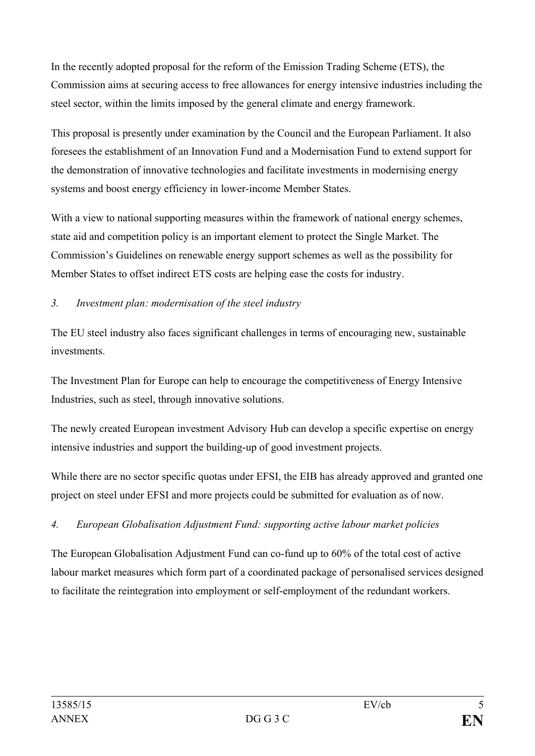In the recently adopted proposal for the reform of the Emission Trading Scheme (ETS), the Commission aims at securing access to free allowances for energy intensive industries including the steel sector, within the limits imposed by the general climate and energy framework.

This proposal is presently under examination by the Council and the European Parliament. It also foresees the establishment of an Innovation Fund and a Modernisation Fund to extend support for the demonstration of innovative technologies and facilitate investments in modernising energy systems and boost energy efficiency in lower-income Member States.

With a view to national supporting measures within the framework of national energy schemes, state aid and competition policy is an important element to protect the Single Market. The Commission's Guidelines on renewable energy support schemes as well as the possibility for Member States to offset indirect ETS costs are helping ease the costs for industry.

## *3. Investment plan: modernisation of the steel industry*

The EU steel industry also faces significant challenges in terms of encouraging new, sustainable investments.

The Investment Plan for Europe can help to encourage the competitiveness of Energy Intensive Industries, such as steel, through innovative solutions.

The newly created European investment Advisory Hub can develop a specific expertise on energy intensive industries and support the building-up of good investment projects.

While there are no sector specific quotas under EFSI, the EIB has already approved and granted one project on steel under EFSI and more projects could be submitted for evaluation as of now.

# *4. European Globalisation Adjustment Fund: supporting active labour market policies*

The European Globalisation Adjustment Fund can co-fund up to 60% of the total cost of active labour market measures which form part of a coordinated package of personalised services designed to facilitate the reintegration into employment or self-employment of the redundant workers.